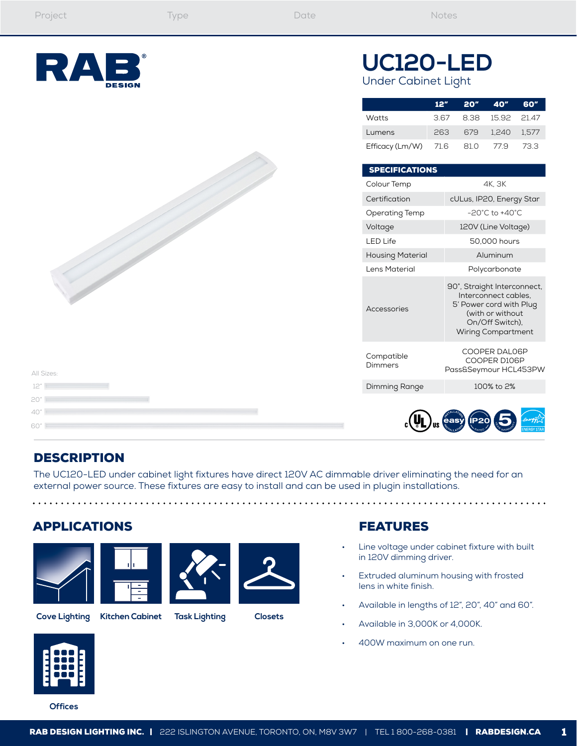

# **UC120-LED** Under Cabinet Light

|                                | 12"  | 20" 40"          | - 60″ |
|--------------------------------|------|------------------|-------|
| Watts                          | 3.67 | 8.38 15.92 21.47 |       |
| Lumens                         | 263  | 679 1.240 1.577  |       |
| Efficacy (Lm/W) 71.6 81.0 77.9 |      |                  | 73.3  |

| Colour Temp             | 4K. 3K                                                                                                                                             |  |
|-------------------------|----------------------------------------------------------------------------------------------------------------------------------------------------|--|
| Certification           | cULus, IP20, Energy Star                                                                                                                           |  |
| Operating Temp          | $-20^{\circ}$ C to $+40^{\circ}$ C                                                                                                                 |  |
| Voltage                 | 120V (Line Voltage)                                                                                                                                |  |
| <b>LED Life</b>         | 50,000 hours                                                                                                                                       |  |
| <b>Housing Material</b> | Aluminum                                                                                                                                           |  |
| Lens Material           | Polycarbonate                                                                                                                                      |  |
| Accessories             | 90°, Straight Interconnect,<br>Interconnect cables.<br>5' Power cord with Plug<br>(with or without<br>On/Off Switch),<br><b>Wiring Compartment</b> |  |
| Compatible<br>Dimmers   | COOPER DAL06P<br>COOPER D106P<br>Pass&Seymour HCL453PW                                                                                             |  |
| Dimming Range           | 100% to 2%                                                                                                                                         |  |
|                         |                                                                                                                                                    |  |

## DESCRIPTION

12" All Sizes:

20" 40" 60"

The UC120-LED under cabinet light fixtures have direct 120V AC dimmable driver eliminating the need for an external power source. These fixtures are easy to install and can be used in plugin installations.

#### APPLICATIONS





. . . . . .



**Cove Lighting Kitchen Cabinet Task Lighting Closets**

#### FEATURES

Line voltage under cabinet fixture with built in 120V dimming driver.

. . . . . . ..

- Extruded aluminum housing with frosted lens in white finish.
- Available in lengths of 12", 20", 40" and 60".
- Available in 3,000K or 4,000K.
- 400W maximum on one run.



**Offices**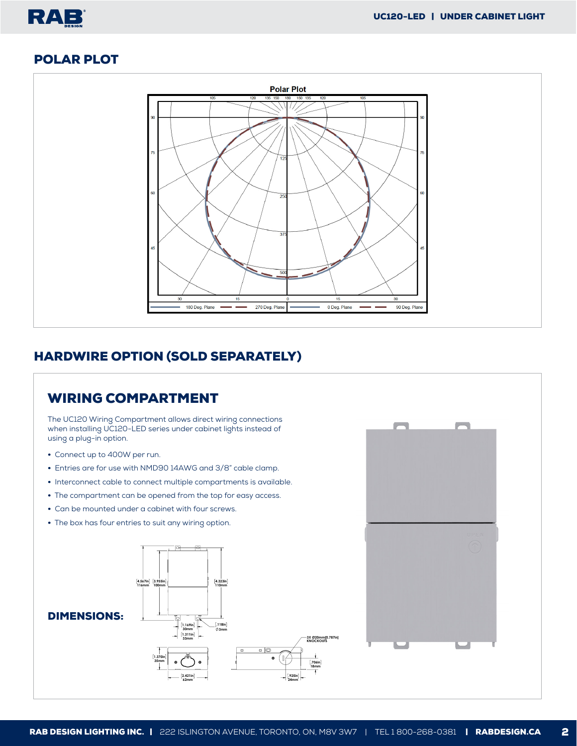#### POLAR PLOT

RAB



### HARDWIRE OPTION (SOLD SEPARATELY)

#### DIMENSIONS: WIRING COMPARTMENT The UC120 Wiring Compartment allows direct wiring connections when installing UC120-LED series under cabinet lights instead of using a plug-in option. • Connect up to 400W per run. • Entries are for use with NMD90 14AWG and 3/8" cable clamp. • Interconnect cable to connect multiple compartments is available. • The compartment can be opened from the top for easy access. • Can be mounted under a cabinet with four screws. • The box has four entries to suit any wiring option. **1.370in 35mm 2.421in 62mm 4.567in 116mm 3.955in 100mm 4.323in 110mm .118in 3mm 1.169in 30mm 1.311in 33mm .925in 24mm .706in 18mm 3X Ø20mm[0.787in] KNOCKOUTS**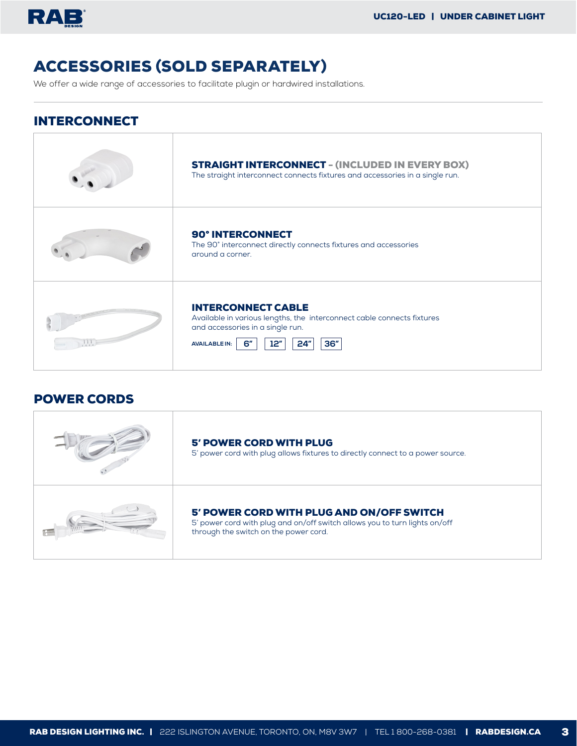

# ACCESSORIES (SOLD SEPARATELY)

We offer a wide range of accessories to facilitate plugin or hardwired installations.

#### INTERCONNECT

| <b>STRAIGHT INTERCONNECT - (INCLUDED IN EVERY BOX)</b><br>The straight interconnect connects fixtures and accessories in a single run.                                                     |
|--------------------------------------------------------------------------------------------------------------------------------------------------------------------------------------------|
| <b>90° INTERCONNECT</b><br>The 90° interconnect directly connects fixtures and accessories<br>around a corner.                                                                             |
| <b>INTERCONNECT CABLE</b><br>Available in various lengths, the interconnect cable connects fixtures<br>and accessories in a single run.<br>12"<br>36"<br>6"<br>24"<br><b>AVAILABLE IN:</b> |

#### POWER CORDS

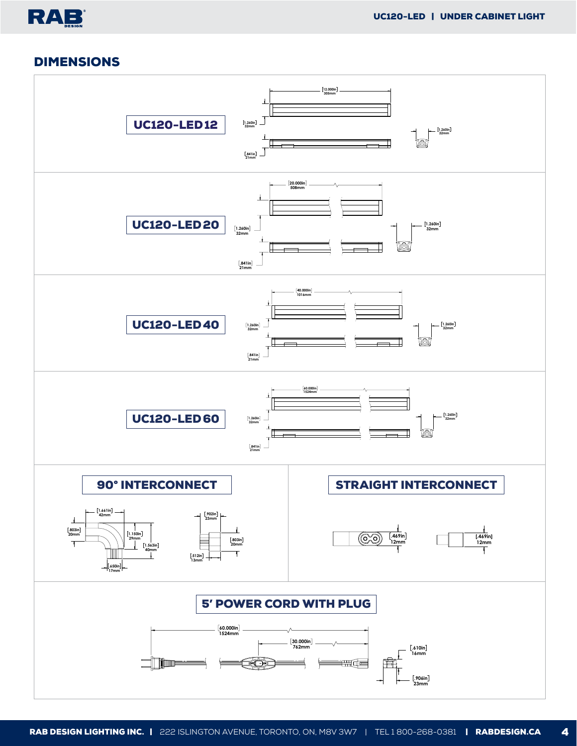### DIMENSIONS